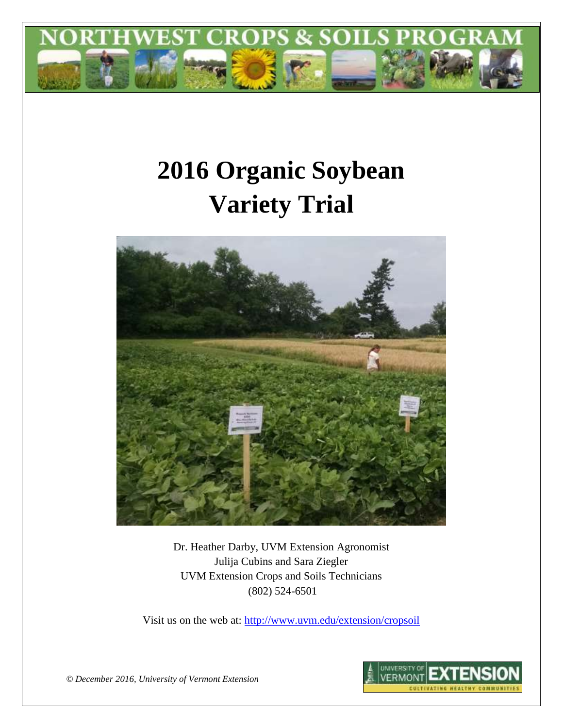

# **2016 Organic Soybean Variety Trial**



Dr. Heather Darby, UVM Extension Agronomist Julija Cubins and Sara Ziegler UVM Extension Crops and Soils Technicians (802) 524-6501

Visit us on the web at: <http://www.uvm.edu/extension/cropsoil>



*© December 2016, University of Vermont Extension*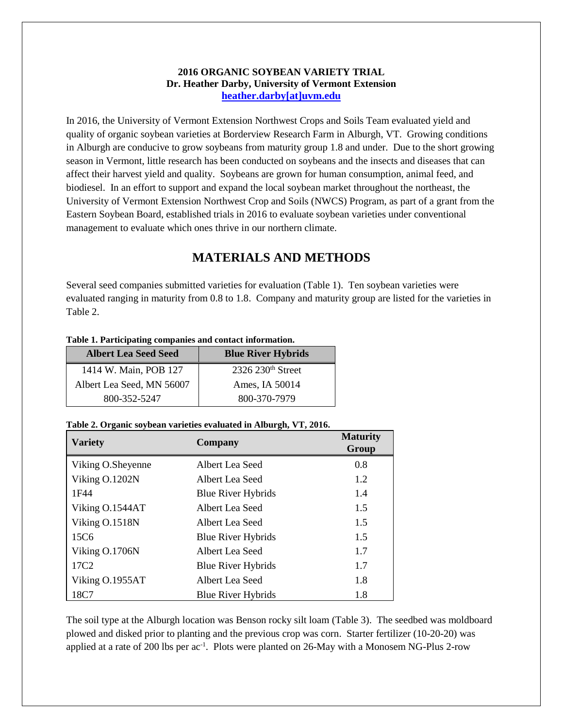## **2016 ORGANIC SOYBEAN VARIETY TRIAL Dr. Heather Darby, University of Vermont Extension [heather.darby\[at\]uvm.edu](mailto:heather.darby@uvm.edu?subject=2012%20Short%20Season%20Corn%20Report)**

In 2016, the University of Vermont Extension Northwest Crops and Soils Team evaluated yield and quality of organic soybean varieties at Borderview Research Farm in Alburgh, VT. Growing conditions in Alburgh are conducive to grow soybeans from maturity group 1.8 and under. Due to the short growing season in Vermont, little research has been conducted on soybeans and the insects and diseases that can affect their harvest yield and quality. Soybeans are grown for human consumption, animal feed, and biodiesel. In an effort to support and expand the local soybean market throughout the northeast, the University of Vermont Extension Northwest Crop and Soils (NWCS) Program, as part of a grant from the Eastern Soybean Board, established trials in 2016 to evaluate soybean varieties under conventional management to evaluate which ones thrive in our northern climate.

# **MATERIALS AND METHODS**

Several seed companies submitted varieties for evaluation (Table 1). Ten soybean varieties were evaluated ranging in maturity from 0.8 to 1.8. Company and maturity group are listed for the varieties in Table 2.

| Table 1. Participating companies and contact information. |  |
|-----------------------------------------------------------|--|
|-----------------------------------------------------------|--|

| <b>Albert Lea Seed Seed</b> | <b>Blue River Hybrids</b> |
|-----------------------------|---------------------------|
| 1414 W. Main, POB 127       | $2326$ $230th$ Street     |
| Albert Lea Seed, MN 56007   | Ames, IA 50014            |
| 800-352-5247                | 800-370-7979              |

## **Table 2. Organic soybean varieties evaluated in Alburgh, VT, 2016.**

| <b>Variety</b>    | Company                   | <b>Maturity</b><br>Group |
|-------------------|---------------------------|--------------------------|
| Viking O.Sheyenne | Albert Lea Seed           | 0.8                      |
| Viking O.1202N    | Albert Lea Seed           | 1.2                      |
| 1F44              | <b>Blue River Hybrids</b> | 1.4                      |
| Viking O.1544AT   | Albert Lea Seed           | 1.5                      |
| Viking O.1518N    | Albert Lea Seed           | 1.5                      |
| 15C <sub>6</sub>  | <b>Blue River Hybrids</b> | 1.5                      |
| Viking O.1706N    | Albert Lea Seed           | 1.7                      |
| 17C <sub>2</sub>  | <b>Blue River Hybrids</b> | 1.7                      |
| Viking O.1955AT   | Albert Lea Seed           | 1.8                      |
| 18C7              | <b>Blue River Hybrids</b> | 1.8                      |

The soil type at the Alburgh location was Benson rocky silt loam (Table 3). The seedbed was moldboard plowed and disked prior to planting and the previous crop was corn. Starter fertilizer (10-20-20) was applied at a rate of 200 lbs per ac<sup>-1</sup>. Plots were planted on 26-May with a Monosem NG-Plus 2-row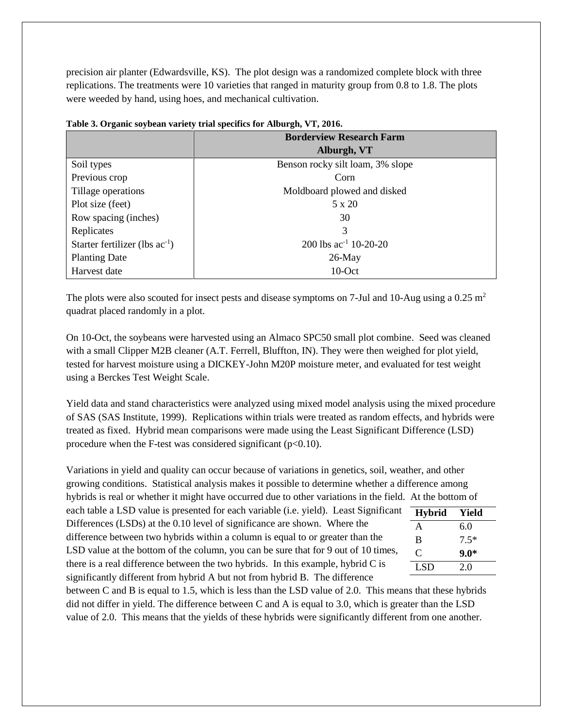precision air planter (Edwardsville, KS). The plot design was a randomized complete block with three replications. The treatments were 10 varieties that ranged in maturity group from 0.8 to 1.8. The plots were weeded by hand, using hoes, and mechanical cultivation.

|                                     | <b>Borderview Research Farm</b>  |  |  |  |  |  |
|-------------------------------------|----------------------------------|--|--|--|--|--|
|                                     | Alburgh, VT                      |  |  |  |  |  |
| Soil types                          | Benson rocky silt loam, 3% slope |  |  |  |  |  |
| Previous crop                       | Corn                             |  |  |  |  |  |
| Tillage operations                  | Moldboard plowed and disked      |  |  |  |  |  |
| Plot size (feet)                    | 5 x 20                           |  |  |  |  |  |
| Row spacing (inches)                | 30                               |  |  |  |  |  |
| Replicates                          | 3                                |  |  |  |  |  |
| Starter fertilizer (lbs $ac^{-1}$ ) | 200 lbs $ac^{-1}$ 10-20-20       |  |  |  |  |  |
| <b>Planting Date</b>                | $26$ -May                        |  |  |  |  |  |
| Harvest date                        | $10$ -Oct                        |  |  |  |  |  |

**Table 3. Organic soybean variety trial specifics for Alburgh, VT, 2016.**

The plots were also scouted for insect pests and disease symptoms on 7-Jul and 10-Aug using a 0.25 m<sup>2</sup> quadrat placed randomly in a plot.

On 10-Oct, the soybeans were harvested using an Almaco SPC50 small plot combine. Seed was cleaned with a small Clipper M2B cleaner (A.T. Ferrell, Bluffton, IN). They were then weighed for plot yield, tested for harvest moisture using a DICKEY-John M20P moisture meter, and evaluated for test weight using a Berckes Test Weight Scale.

Yield data and stand characteristics were analyzed using mixed model analysis using the mixed procedure of SAS (SAS Institute, 1999). Replications within trials were treated as random effects, and hybrids were treated as fixed. Hybrid mean comparisons were made using the Least Significant Difference (LSD) procedure when the F-test was considered significant  $(p<0.10)$ .

Variations in yield and quality can occur because of variations in genetics, soil, weather, and other growing conditions. Statistical analysis makes it possible to determine whether a difference among hybrids is real or whether it might have occurred due to other variations in the field. At the bottom of each table a LSD value is presented for each variable (i.e. yield). Least Significant Differences (LSDs) at the 0.10 level of significance are shown. Where the difference between two hybrids within a column is equal to or greater than the LSD value at the bottom of the column, you can be sure that for 9 out of 10 times, there is a real difference between the two hybrids. In this example, hybrid C is significantly different from hybrid A but not from hybrid B. The difference between C and B is equal to 1.5, which is less than the LSD value of 2.0. This means that these hybrids **Hybrid Yield** A 6.0 B 7.5\* C **9.0\***  $LSD$  2.0

did not differ in yield. The difference between C and A is equal to 3.0, which is greater than the LSD value of 2.0. This means that the yields of these hybrids were significantly different from one another.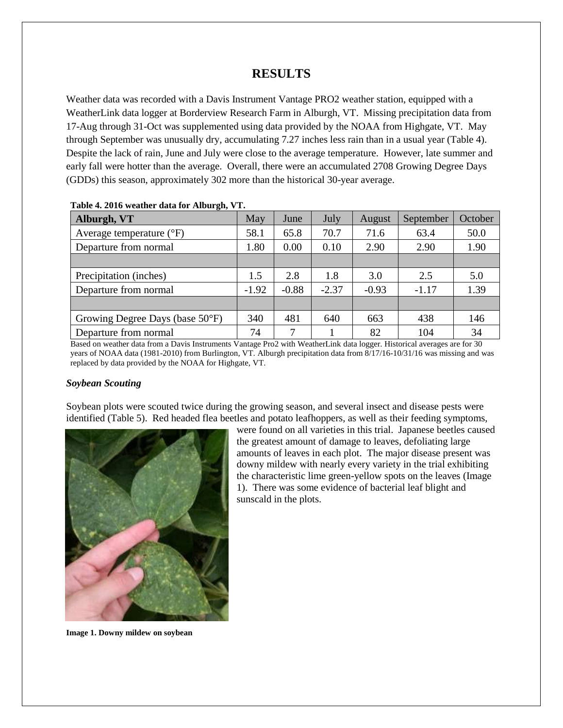# **RESULTS**

Weather data was recorded with a Davis Instrument Vantage PRO2 weather station, equipped with a WeatherLink data logger at Borderview Research Farm in Alburgh, VT. Missing precipitation data from 17-Aug through 31-Oct was supplemented using data provided by the NOAA from Highgate, VT. May through September was unusually dry, accumulating 7.27 inches less rain than in a usual year (Table 4). Despite the lack of rain, June and July were close to the average temperature. However, late summer and early fall were hotter than the average. Overall, there were an accumulated 2708 Growing Degree Days (GDDs) this season, approximately 302 more than the historical 30-year average.

| Alburgh, VT                         | May     | June    | July    | August  | September | October |
|-------------------------------------|---------|---------|---------|---------|-----------|---------|
| Average temperature $({}^{\circ}F)$ | 58.1    | 65.8    | 70.7    | 71.6    | 63.4      | 50.0    |
| Departure from normal               | 1.80    | 0.00    | 0.10    | 2.90    | 2.90      | 1.90    |
|                                     |         |         |         |         |           |         |
| Precipitation (inches)              | 1.5     | 2.8     | 1.8     | 3.0     | 2.5       | 5.0     |
| Departure from normal               | $-1.92$ | $-0.88$ | $-2.37$ | $-0.93$ | $-1.17$   | 1.39    |
|                                     |         |         |         |         |           |         |
| Growing Degree Days (base 50°F)     | 340     | 481     | 640     | 663     | 438       | 146     |
| Departure from normal               | 74      | 7       |         | 82      | 104       | 34      |

#### **Table 4. 2016 weather data for Alburgh, VT.**

Based on weather data from a Davis Instruments Vantage Pro2 with WeatherLink data logger. Historical averages are for 30 years of NOAA data (1981-2010) from Burlington, VT. Alburgh precipitation data from 8/17/16-10/31/16 was missing and was replaced by data provided by the NOAA for Highgate, VT.

## *Soybean Scouting*

Soybean plots were scouted twice during the growing season, and several insect and disease pests were identified (Table 5). Red headed flea beetles and potato leafhoppers, as well as their feeding symptoms,



amounts of leaves in each plot. The major disease present was downy mildew with nearly every variety in the trial exhibiting the characteristic lime green-yellow spots on the leaves (Image 1). There was some evidence of bacterial leaf blight and sunscald in the plots.

were found on all varieties in this trial. Japanese beetles caused the greatest amount of damage to leaves, defoliating large

**Image 1. Downy mildew on soybean**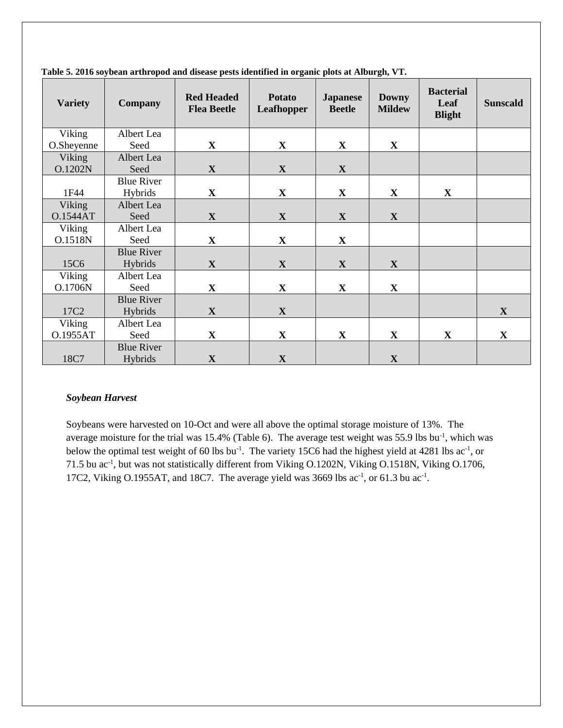| <b>Variety</b>   | Company                      | <b>Red Headed</b><br><b>Flea Beetle</b> | <b>Potato</b><br><b>Leafhopper</b> | <b>Japanese</b><br><b>Beetle</b> | <b>Downy</b><br><b>Mildew</b> | <b>Bacterial</b><br>Leaf<br><b>Blight</b> | <b>Sunscald</b> |
|------------------|------------------------------|-----------------------------------------|------------------------------------|----------------------------------|-------------------------------|-------------------------------------------|-----------------|
| Viking           | Albert Lea                   |                                         |                                    |                                  |                               |                                           |                 |
| O.Sheyenne       | Seed                         | $\mathbf X$                             | $\mathbf X$                        | $\mathbf{X}$                     | $\mathbf X$                   |                                           |                 |
| Viking           | Albert Lea                   |                                         |                                    |                                  |                               |                                           |                 |
| O.1202N          | Seed                         | $\mathbf{X}$                            | $\mathbf X$                        | X                                |                               |                                           |                 |
|                  | <b>Blue River</b>            |                                         |                                    |                                  |                               |                                           |                 |
| 1F44             | Hybrids                      | $\mathbf X$                             | $\mathbf X$                        | $\mathbf{X}$                     | $\mathbf X$                   | $\mathbf{X}$                              |                 |
| Viking           | Albert Lea                   |                                         |                                    |                                  |                               |                                           |                 |
| <b>O.1544AT</b>  | Seed                         | $\mathbf X$                             | $\mathbf X$                        | $\mathbf X$                      | $\mathbf{X}$                  |                                           |                 |
| Viking           | Albert Lea                   |                                         |                                    |                                  |                               |                                           |                 |
| O.1518N          | Seed                         | $\mathbf{X}$                            | $\mathbf{X}$                       | $\mathbf{X}$                     |                               |                                           |                 |
| 15C6             | <b>Blue River</b><br>Hybrids | $\mathbf X$                             | $\mathbf{X}$                       | $\mathbf{X}$                     | $\mathbf{X}$                  |                                           |                 |
| Viking           | Albert Lea                   |                                         |                                    |                                  |                               |                                           |                 |
| O.1706N          | Seed                         | X                                       | X                                  | X                                | $\mathbf X$                   |                                           |                 |
|                  | <b>Blue River</b>            |                                         |                                    |                                  |                               |                                           |                 |
| 17C <sub>2</sub> | Hybrids                      | $\mathbf X$                             | $\mathbf X$                        |                                  |                               |                                           | $\mathbf X$     |
| Viking           | Albert Lea                   |                                         |                                    |                                  |                               |                                           |                 |
| O.1955AT         | Seed                         | $\mathbf X$                             | $\mathbf X$                        | $\mathbf X$                      | $\mathbf X$                   | $\mathbf{X}$                              | $\mathbf X$     |
|                  | <b>Blue River</b>            |                                         |                                    |                                  |                               |                                           |                 |
| 18C7             | Hybrids                      | $\mathbf X$                             | $\mathbf X$                        |                                  | $\mathbf X$                   |                                           |                 |

**Table 5. 2016 soybean arthropod and disease pests identified in organic plots at Alburgh, VT.**

## *Soybean Harvest*

Soybeans were harvested on 10-Oct and were all above the optimal storage moisture of 13%. The average moisture for the trial was  $15.4\%$  (Table 6). The average test weight was 55.9 lbs bu<sup>-1</sup>, which was below the optimal test weight of 60 lbs bu<sup>-1</sup>. The variety 15C6 had the highest yield at 4281 lbs ac<sup>-1</sup>, or 71.5 bu ac<sup>-1</sup>, but was not statistically different from Viking O.1202N, Viking O.1518N, Viking O.1706, 17C2, Viking O.1955AT, and 18C7. The average yield was 3669 lbs  $ac^{-1}$ , or 61.3 bu  $ac^{-1}$ .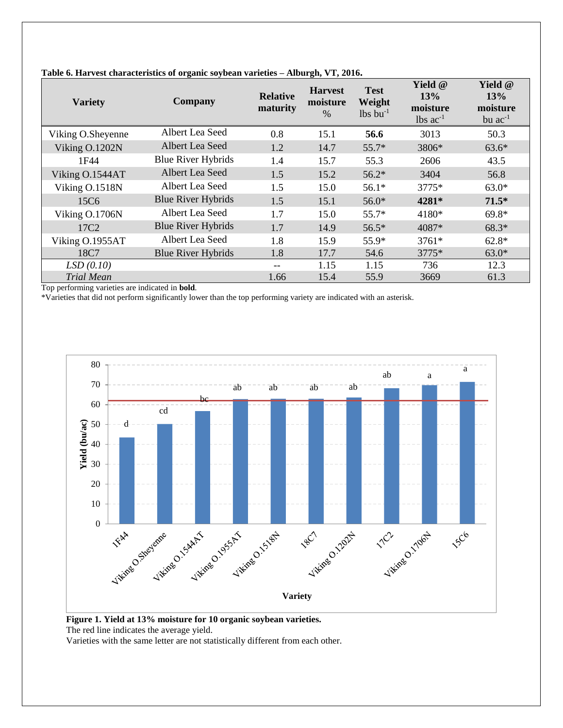| <b>Variety</b>    | <b>Company</b>            | <b>Relative</b><br>maturity | <b>Harvest</b><br>moisture<br>$\%$ | <b>Test</b><br>Weight<br>$lbs$ bu <sup>-1</sup> | Yield @<br>13%<br>moisture<br>$lbs$ ac <sup>-1</sup> | Yield @<br>13%<br>moisture<br>bu $ac^{-1}$ |
|-------------------|---------------------------|-----------------------------|------------------------------------|-------------------------------------------------|------------------------------------------------------|--------------------------------------------|
| Viking O.Sheyenne | Albert Lea Seed           | 0.8                         | 15.1                               | 56.6                                            | 3013                                                 | 50.3                                       |
| Viking O.1202N    | Albert Lea Seed           | 1.2                         | 14.7                               | $55.7*$                                         | 3806*                                                | $63.6*$                                    |
| 1F44              | <b>Blue River Hybrids</b> | 1.4                         | 15.7                               | 55.3                                            | 2606                                                 | 43.5                                       |
| Viking O.1544AT   | Albert Lea Seed           | 1.5                         | 15.2                               | $56.2*$                                         | 3404                                                 | 56.8                                       |
| Viking O.1518N    | Albert Lea Seed           | 1.5                         | 15.0                               | $56.1*$                                         | 3775*                                                | $63.0*$                                    |
| 15C <sub>6</sub>  | <b>Blue River Hybrids</b> | 1.5                         | 15.1                               | $56.0*$                                         | 4281*                                                | $71.5*$                                    |
| Viking O.1706N    | Albert Lea Seed           | 1.7                         | 15.0                               | $55.7*$                                         | 4180*                                                | $69.8*$                                    |
| 17C <sub>2</sub>  | <b>Blue River Hybrids</b> | 1.7                         | 14.9                               | $56.5*$                                         | 4087*                                                | 68.3*                                      |
| Viking O.1955AT   | Albert Lea Seed           | 1.8                         | 15.9                               | 55.9*                                           | 3761*                                                | $62.8*$                                    |
| 18C7              | <b>Blue River Hybrids</b> | 1.8                         | 17.7                               | 54.6                                            | 3775*                                                | $63.0*$                                    |
| LSD(0.10)         |                           | --                          | 1.15                               | 1.15                                            | 736                                                  | 12.3                                       |
| <b>Trial Mean</b> |                           | 1.66                        | 15.4                               | 55.9                                            | 3669                                                 | 61.3                                       |

#### **Table 6. Harvest characteristics of organic soybean varieties – Alburgh, VT, 2016.**

Top performing varieties are indicated in **bold**.

\*Varieties that did not perform significantly lower than the top performing variety are indicated with an asterisk.



**Figure 1. Yield at 13% moisture for 10 organic soybean varieties.**  The red line indicates the average yield.

Varieties with the same letter are not statistically different from each other.